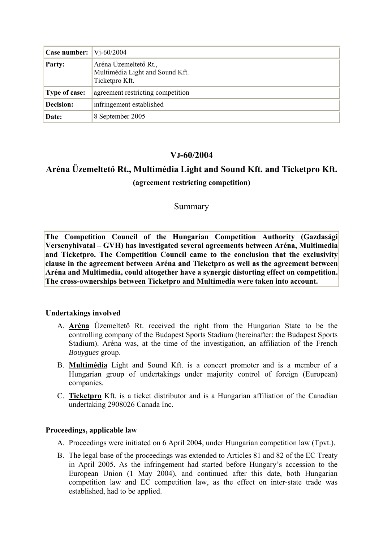| Case number:  | $Vi$ -60/2004                                                              |
|---------------|----------------------------------------------------------------------------|
| Party:        | Aréna Üzemeltető Rt.,<br>Multimédia Light and Sound Kft.<br>Ticketpro Kft. |
| Type of case: | agreement restricting competition                                          |
| Decision:     | infringement established                                                   |
| Date:         | 8 September 2005                                                           |

# **VJ-60/2004**

# **Aréna Üzemeltető Rt., Multimédia Light and Sound Kft. and Ticketpro Kft. (agreement restricting competition)**

## Summary

**The Competition Council of the Hungarian Competition Authority (Gazdasági Versenyhivatal – GVH) has investigated several agreements between Aréna, Multimedia and Ticketpro. The Competition Council came to the conclusion that the exclusivity clause in the agreement between Aréna and Ticketpro as well as the agreement between Aréna and Multimedia, could altogether have a synergic distorting effect on competition. The cross-ownerships between Ticketpro and Multimedia were taken into account.**

## **Undertakings involved**

- A. **Aréna** Üzemeltető Rt. received the right from the Hungarian State to be the controlling company of the Budapest Sports Stadium (hereinafter: the Budapest Sports Stadium). Aréna was, at the time of the investigation, an affiliation of the French *Bouygues* group.
- B. **Multimédia** Light and Sound Kft. is a concert promoter and is a member of a Hungarian group of undertakings under majority control of foreign (European) companies.
- C. **Ticketpro** Kft. is a ticket distributor and is a Hungarian affiliation of the Canadian undertaking 2908026 Canada Inc.

## **Proceedings, applicable law**

- A. Proceedings were initiated on 6 April 2004, under Hungarian competition law (Tpvt.).
- B. The legal base of the proceedings was extended to Articles 81 and 82 of the EC Treaty in April 2005. As the infringement had started before Hungary's accession to the European Union (1 May 2004), and continued after this date, both Hungarian competition law and EC competition law, as the effect on inter-state trade was established, had to be applied.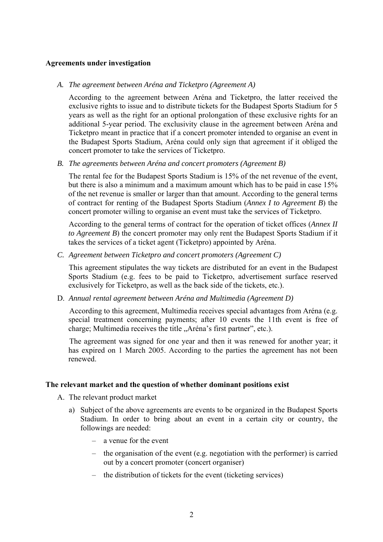#### **Agreements under investigation**

#### *A. The agreement between Aréna and Ticketpro (Agreement A)*

According to the agreement between Aréna and Ticketpro, the latter received the exclusive rights to issue and to distribute tickets for the Budapest Sports Stadium for 5 years as well as the right for an optional prolongation of these exclusive rights for an additional 5-year period. The exclusivity clause in the agreement between Aréna and Ticketpro meant in practice that if a concert promoter intended to organise an event in the Budapest Sports Stadium, Aréna could only sign that agreement if it obliged the concert promoter to take the services of Ticketpro.

*B. The agreements between Aréna and concert promoters (Agreement B)*

The rental fee for the Budapest Sports Stadium is 15% of the net revenue of the event, but there is also a minimum and a maximum amount which has to be paid in case 15% of the net revenue is smaller or larger than that amount. According to the general terms of contract for renting of the Budapest Sports Stadium (*Annex I to Agreement B*) the concert promoter willing to organise an event must take the services of Ticketpro.

According to the general terms of contract for the operation of ticket offices (*Annex II to Agreement B*) the concert promoter may only rent the Budapest Sports Stadium if it takes the services of a ticket agent (Ticketpro) appointed by Aréna.

*C. Agreement between Ticketpro and concert promoters (Agreement C)*

This agreement stipulates the way tickets are distributed for an event in the Budapest Sports Stadium (e.g. fees to be paid to Ticketpro, advertisement surface reserved exclusively for Ticketpro, as well as the back side of the tickets, etc.).

D. *Annual rental agreement between Aréna and Multimedia (Agreement D)*

According to this agreement, Multimedia receives special advantages from Aréna (e.g. special treatment concerning payments; after 10 events the 11th event is free of charge; Multimedia receives the title "Aréna's first partner", etc.).

The agreement was signed for one year and then it was renewed for another year; it has expired on 1 March 2005. According to the parties the agreement has not been renewed.

#### **The relevant market and the question of whether dominant positions exist**

A. The relevant product market

- a) Subject of the above agreements are events to be organized in the Budapest Sports Stadium. In order to bring about an event in a certain city or country, the followings are needed:
	- a venue for the event
	- the organisation of the event (e.g. negotiation with the performer) is carried out by a concert promoter (concert organiser)
	- the distribution of tickets for the event (ticketing services)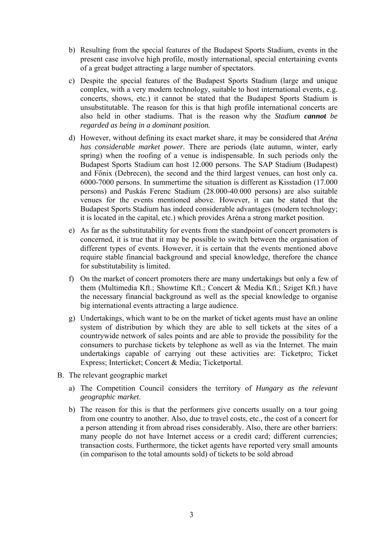- b) Resulting from the special features of the Budapest Sports Stadium, events in the present case involve high profile, mostly international, special entertaining events of a great budget attracting a large number of spectators.
- c) Despite the special features of the Budapest Sports Stadium (large and unique complex, with a very modern technology, suitable to host international events, e.g. concerts, shows, etc.) it cannot be stated that the Budapest Sports Stadium is unsubstitutable. The reason for this is that high profile international concerts are also held in other stadiums. That is the reason why the *Stadium cannot be regarded as being in a dominant position.*
- d) However, without defining its exact market share, it may be considered that *Aréna has considerable market power.* There are periods (late autumn, winter, early spring) when the roofing of a venue is indispensable. In such periods only the Budapest Sports Stadium can host 12.000 persons. The SAP Stadium (Budapest) and Főnix (Debrecen), the second and the third largest venues, can host only ca. 6000-7000 persons. In summertime the situation is different as Kisstadion (17.000 persons) and Puskás Ferenc Stadium (28.000-40.000 persons) are also suitable venues for the events mentioned above. However, it can be stated that the Budapest Sports Stadium has indeed considerable advantages (modern technology; it is located in the capital, etc.) which provides Aréna a strong market position.
- e) As far as the substitutability for events from the standpoint of concert promoters is concerned, it is true that it may be possible to switch between the organisation of different types of events. However, it is certain that the events mentioned above require stable financial background and special knowledge, therefore the chance for substitutability is limited.
- f) On the market of concert promoters there are many undertakings but only a few of them (Multimedia Kft.; Showtime Kft.; Concert & Media Kft.; Sziget Kft.) have the necessary financial background as well as the special knowledge to organise big international events attracting a large audience.
- g) Undertakings, which want to be on the market of ticket agents must have an online system of distribution by which they are able to sell tickets at the sites of a countrywide network of sales points and are able to provide the possibility for the consumers to purchase tickets by telephone as well as via the Internet. The main undertakings capable of carrying out these activities are: Ticketpro; Ticket Express; Interticket; Concert & Media; Ticketportal.
- B. The relevant geographic market
	- a) The Competition Council considers the territory of *Hungary as the relevant geographic market*.
	- b) The reason for this is that the performers give concerts usually on a tour going from one country to another. Also, due to travel costs, etc., the cost of a concert for a person attending it from abroad rises considerably. Also, there are other barriers: many people do not have Internet access or a credit card; different currencies; transaction costs. Furthermore, the ticket agents have reported very small amounts (in comparison to the total amounts sold) of tickets to be sold abroad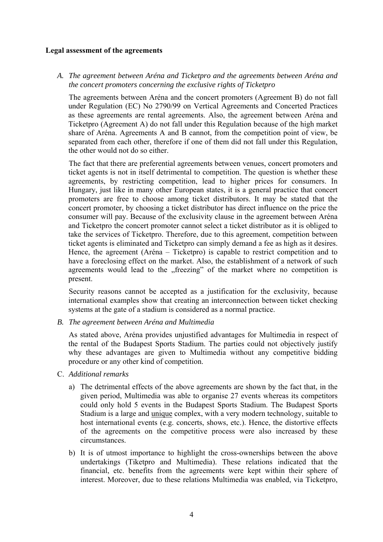#### **Legal assessment of the agreements**

*A. The agreement between Aréna and Ticketpro and the agreements between Aréna and the concert promoters concerning the exclusive rights of Ticketpro* 

The agreements between Aréna and the concert promoters (Agreement B) do not fall under Regulation (EC) No 2790/99 on Vertical Agreements and Concerted Practices as these agreements are rental agreements. Also, the agreement between Aréna and Ticketpro (Agreement A) do not fall under this Regulation because of the high market share of Aréna. Agreements A and B cannot, from the competition point of view, be separated from each other, therefore if one of them did not fall under this Regulation, the other would not do so either.

The fact that there are preferential agreements between venues, concert promoters and ticket agents is not in itself detrimental to competition. The question is whether these agreements, by restricting competition, lead to higher prices for consumers. In Hungary, just like in many other European states, it is a general practice that concert promoters are free to choose among ticket distributors. It may be stated that the concert promoter, by choosing a ticket distributor has direct influence on the price the consumer will pay. Because of the exclusivity clause in the agreement between Aréna and Ticketpro the concert promoter cannot select a ticket distributor as it is obliged to take the services of Ticketpro. Therefore, due to this agreement, competition between ticket agents is eliminated and Ticketpro can simply demand a fee as high as it desires. Hence, the agreement (Aréna – Ticketpro) is capable to restrict competition and to have a foreclosing effect on the market. Also, the establishment of a network of such agreements would lead to the "freezing" of the market where no competition is present.

Security reasons cannot be accepted as a justification for the exclusivity, because international examples show that creating an interconnection between ticket checking systems at the gate of a stadium is considered as a normal practice.

*B. The agreement between Aréna and Multimedia* 

As stated above, Aréna provides unjustified advantages for Multimedia in respect of the rental of the Budapest Sports Stadium. The parties could not objectively justify why these advantages are given to Multimedia without any competitive bidding procedure or any other kind of competition.

- C. *Additional remarks*
	- a) The detrimental effects of the above agreements are shown by the fact that, in the given period, Multimedia was able to organise 27 events whereas its competitors could only hold 5 events in the Budapest Sports Stadium. The Budapest Sports Stadium is a large and unique complex, with a very modern technology, suitable to host international events (e.g. concerts, shows, etc.). Hence, the distortive effects of the agreements on the competitive process were also increased by these circumstances.
	- b) It is of utmost importance to highlight the cross-ownerships between the above undertakings (Tiketpro and Multimedia). These relations indicated that the financial, etc. benefits from the agreements were kept within their sphere of interest. Moreover, due to these relations Multimedia was enabled, via Ticketpro,